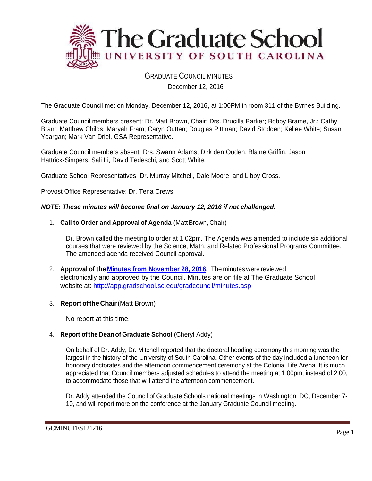

# GRADUATE COUNCIL MINUTES

December 12, 2016

The Graduate Council met on Monday, December 12, 2016, at 1:00PM in room 311 of the Byrnes Building.

Graduate Council members present: Dr. Matt Brown, Chair; Drs. Drucilla Barker; Bobby Brame, Jr.; Cathy Brant; Matthew Childs; Maryah Fram; Caryn Outten; Douglas Pittman; David Stodden; Kellee White; Susan Yeargan; Mark Van Driel, GSA Representative.

Graduate Council members absent: Drs. Swann Adams, Dirk den Ouden, Blaine Griffin, Jason Hattrick-Simpers, Sali Li, David Tedeschi, and Scott White.

Graduate School Representatives: Dr. Murray Mitchell, Dale Moore, and Libby Cross.

Provost Office Representative: Dr. Tena Crews

### *NOTE: These minutes will become final on January 12, 2016 if not challenged.*

1. **Call to Order and Approval of Agenda** (Matt Brown, Chair)

Dr. Brown called the meeting to order at 1:02pm. The Agenda was amended to include six additional courses that were reviewed by the Science, Math, and Related Professional Programs Committee. The amended agenda received Council approval.

- 2. **Approval of the [Minutes from November 28, 2016.](http://gradschool.sc.edu/facstaff/gradcouncil/2016/GCMINUTES%2011.28.16%20MM.pdf)** The minutes were reviewed electronically and approved by the Council. Minutes are on file at The Graduate School website at:<http://app.gradschool.sc.edu/gradcouncil/minutes.asp>
- 3. **Report oftheChair**(Matt Brown)

No report at this time.

## 4. **Report ofthe Deanof Graduate School** (Cheryl Addy)

On behalf of Dr. Addy, Dr. Mitchell reported that the doctoral hooding ceremony this morning was the largest in the history of the University of South Carolina. Other events of the day included a luncheon for honorary doctorates and the afternoon commencement ceremony at the Colonial Life Arena. It is much appreciated that Council members adjusted schedules to attend the meeting at 1:00pm, instead of 2:00, to accommodate those that will attend the afternoon commencement.

Dr. Addy attended the Council of Graduate Schools national meetings in Washington, DC, December 7- 10, and will report more on the conference at the January Graduate Council meeting.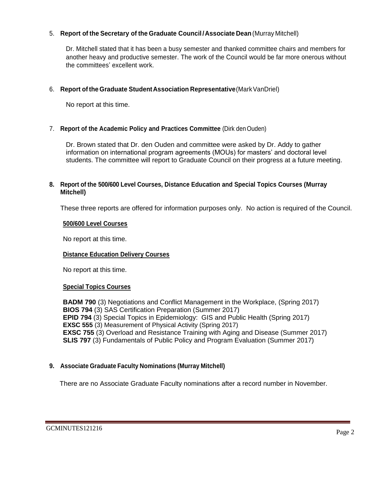## 5. **Report of the Secretary of the Graduate Council /Associate Dean**(Murray Mitchell)

Dr. Mitchell stated that it has been a busy semester and thanked committee chairs and members for another heavy and productive semester. The work of the Council would be far more onerous without the committees' excellent work.

## 6. **Report of the Graduate StudentAssociation Representative**(MarkVanDriel)

No report at this time.

## 7. **Report of the Academic Policy and Practices Committee** (Dirk denOuden)

Dr. Brown stated that Dr. den Ouden and committee were asked by Dr. Addy to gather information on international program agreements (MOUs) for masters' and doctoral level students. The committee will report to Graduate Council on their progress at a future meeting.

## **8. Report of the 500/600 Level Courses, Distance Education and Special Topics Courses (Murray Mitchell)**

These three reports are offered for information purposes only. No action is required of the Council.

## **500/600 Level Courses**

No report at this time.

## **Distance Education Delivery Courses**

No report at this time.

## **Special Topics Courses**

**BADM 790** (3) Negotiations and Conflict Management in the Workplace, (Spring 2017) **BIOS 794** (3) SAS Certification Preparation (Summer 2017) **EPID 794** (3) Special Topics in Epidemiology: GIS and Public Health (Spring 2017) **EXSC 555** (3) Measurement of Physical Activity (Spring 2017) **EXSC 755** (3) Overload and Resistance Training with Aging and Disease (Summer 2017) **SLIS 797** (3) Fundamentals of Public Policy and Program Evaluation (Summer 2017)

# **9. Associate Graduate Faculty Nominations (Murray Mitchell)**

There are no Associate Graduate Faculty nominations after a record number in November.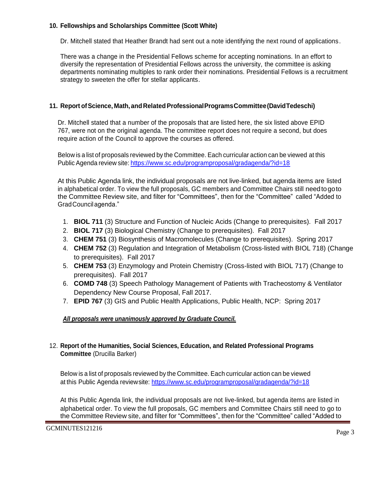## **10. Fellowships and Scholarships Committee (Scott White)**

Dr. Mitchell stated that Heather Brandt had sent out a note identifying the next round of applications.

There was a change in the Presidential Fellows scheme for accepting nominations. In an effort to diversify the representation of Presidential Fellows across the university, the committee is asking departments nominating multiples to rank order their nominations. Presidential Fellows is a recruitment strategy to sweeten the offer for stellar applicants.

# **11. Report ofScience, Math,andRelatedProfessionalProgramsCommittee(DavidTedeschi)**

Dr. Mitchell stated that a number of the proposals that are listed here, the six listed above EPID 767, were not on the original agenda. The committee report does not require a second, but does require action of the Council to approve the courses as offered.

Below is a list of proposals reviewed by the Committee. Each curricular action can be viewed at this Public Agenda review site: <https://www.sc.edu/programproposal/gradagenda/?id=18>

At this Public Agenda link, the individual proposals are not live-linked, but agenda items are listed in alphabetical order. To view the full proposals, GC members and Committee Chairs still needtogoto the Committee Review site, and filter for "Committees", then for the "Committee" called "Added to GradCouncilagenda."

- 1. **BIOL 711** (3) Structure and Function of Nucleic Acids (Change to prerequisites). Fall 2017
- 2. **BIOL 717** (3) Biological Chemistry (Change to prerequisites). Fall 2017
- 3. **CHEM 751** (3) Biosynthesis of Macromolecules (Change to prerequisites). Spring 2017
- 4. **CHEM 752** (3) Regulation and Integration of Metabolism (Cross-listed with BIOL 718) (Change to prerequisites). Fall 2017
- 5. **CHEM 753** (3) Enzymology and Protein Chemistry (Cross-listed with BIOL 717) (Change to prerequisites). Fall 2017
- 6. **COMD 748** (3) Speech Pathology Management of Patients with Tracheostomy & Ventilator Dependency New Course Proposal, Fall 2017.
- 7. **EPID 767** (3) GIS and Public Health Applications, Public Health, NCP: Spring 2017

## *All proposals were unanimously approved by Graduate Council.*

## 12. **Report of the Humanities, Social Sciences, Education, and Related Professional Programs Committee** (Drucilla Barker)

Below is a list of proposals reviewed by the Committee. Each curricular action can be viewed at this Public Agenda reviewsite:<https://www.sc.edu/programproposal/gradagenda/?id=18>

At this Public Agenda link, the individual proposals are not live-linked, but agenda items are listed in alphabetical order. To view the full proposals, GC members and Committee Chairs still need to go to the Committee Review site, and filter for "Committees", then for the "Committee" called "Added to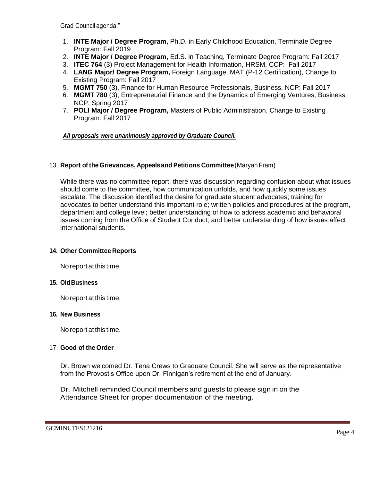Grad Council agenda."

- 1. **INTE Major / Degree Program,** Ph.D. in Early Childhood Education, Terminate Degree Program: Fall 2019
- 2. **INTE Major / Degree Program,** Ed.S. in Teaching, Terminate Degree Program: Fall 2017
- 3. **ITEC 764** (3) Project Management for Health Information, HRSM, CCP: Fall 2017
- 4. **LANG Major/ Degree Program,** Foreign Language, MAT (P-12 Certification), Change to Existing Program: Fall 2017
- 5. **MGMT 750** (3), Finance for Human Resource Professionals, Business, NCP: Fall 2017
- 6. **MGMT 780** (3), Entrepreneurial Finance and the Dynamics of Emerging Ventures, Business, NCP: Spring 2017
- 7. **POLI Major / Degree Program,** Masters of Public Administration, Change to Existing Program: Fall 2017

## *All proposals were unanimously approved by Graduate Council.*

### 13. **Report of the Grievances, Appealsand Petitions Committee**(MaryahFram)

While there was no committee report, there was discussion regarding confusion about what issues should come to the committee, how communication unfolds, and how quickly some issues escalate. The discussion identified the desire for graduate student advocates; training for advocates to better understand this important role; written policies and procedures at the program, department and college level; better understanding of how to address academic and behavioral issues coming from the Office of Student Conduct; and better understanding of how issues affect international students.

#### **14. Other Committee Reports**

No report at this time.

#### **15. OldBusiness**

No report at this time.

#### **16. New Business**

No report at this time.

#### 17. **Good of the Order**

Dr. Brown welcomed Dr. Tena Crews to Graduate Council. She will serve as the representative from the Provost's Office upon Dr. Finnigan's retirement at the end of January.

Dr. Mitchell reminded Council members and guests to please sign in on the Attendance Sheet for proper documentation of the meeting.